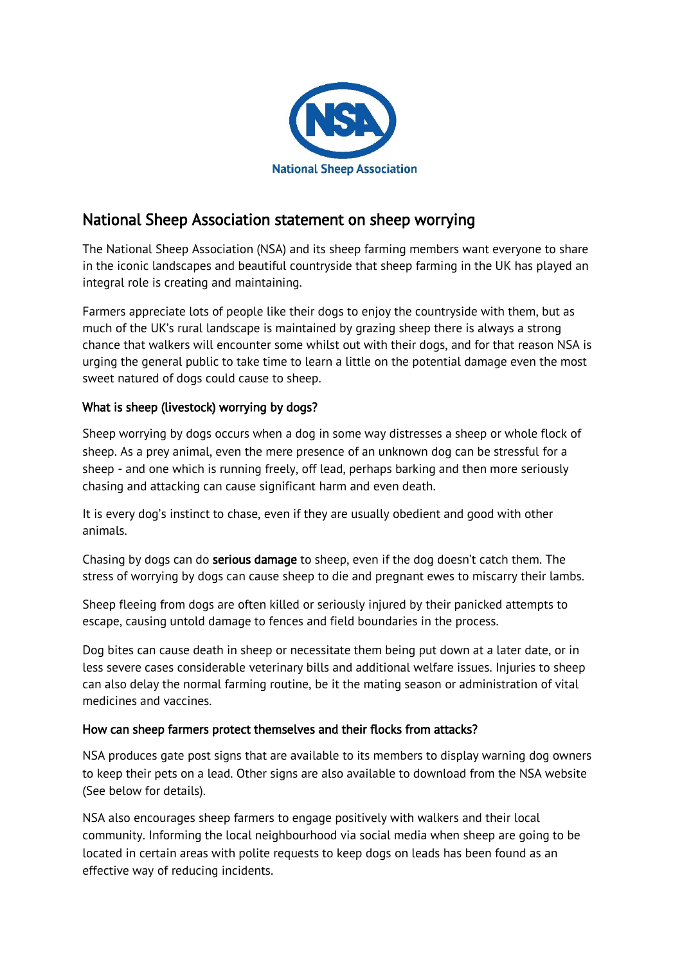

# National Sheep Association statement on sheep worrying

The National Sheep Association (NSA) and its sheep farming members want everyone to share in the iconic landscapes and beautiful countryside that sheep farming in the UK has played an integral role is creating and maintaining.

Farmers appreciate lots of people like their dogs to enjoy the countryside with them, but as much of the UK's rural landscape is maintained by grazing sheep there is always a strong chance that walkers will encounter some whilst out with their dogs, and for that reason NSA is urging the general public to take time to learn a little on the potential damage even the most sweet natured of dogs could cause to sheep.

## What is sheep (livestock) worrying by dogs?

Sheep worrying by dogs occurs when a dog in some way distresses a sheep or whole flock of sheep. As a prey animal, even the mere presence of an unknown dog can be stressful for a sheep - and one which is running freely, off lead, perhaps barking and then more seriously chasing and attacking can cause significant harm and even death.

It is every dog's instinct to chase, even if they are usually obedient and good with other animals.

Chasing by dogs can do **serious damage** to sheep, even if the dog doesn't catch them. The stress of worrying by dogs can cause sheep to die and pregnant ewes to miscarry their lambs.

Sheep fleeing from dogs are often killed or seriously injured by their panicked attempts to escape, causing untold damage to fences and field boundaries in the process.

Dog bites can cause death in sheep or necessitate them being put down at a later date, or in less severe cases considerable veterinary bills and additional welfare issues. Injuries to sheep can also delay the normal farming routine, be it the mating season or administration of vital medicines and vaccines.

### How can sheep farmers protect themselves and their flocks from attacks?

NSA produces gate post signs that are available to its members to display warning dog owners to keep their pets on a lead. Other signs are also available to download from the NSA website (See below for details).

NSA also encourages sheep farmers to engage positively with walkers and their local community. Informing the local neighbourhood via social media when sheep are going to be located in certain areas with polite requests to keep dogs on leads has been found as an effective way of reducing incidents.